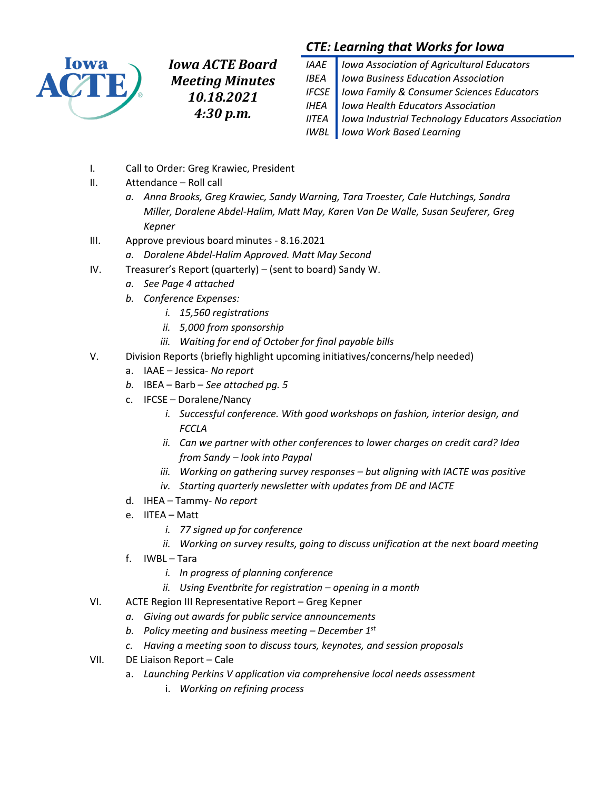

*Iowa ACTE Board Meeting Minutes 10.18.2021 4:30 p.m.*

# *CTE: Learning that Works for Iowa*

| IAAE   Iowa Association of Agricultural Educators        |
|----------------------------------------------------------|
| <b>IBEA</b>   Iowa Business Education Association        |
| IFCSE   Iowa Family & Consumer Sciences Educators        |
| <b>IHEA</b>   Iowa Health Educators Association          |
| IITEA   Iowa Industrial Technology Educators Association |
| <b>IWBL</b> lowa Work Based Learning                     |

- I. Call to Order: Greg Krawiec, President
- II. Attendance Roll call
	- *a. Anna Brooks, Greg Krawiec, Sandy Warning, Tara Troester, Cale Hutchings, Sandra Miller, Doralene Abdel-Halim, Matt May, Karen Van De Walle, Susan Seuferer, Greg Kepner*
- III. Approve previous board minutes 8.16.2021
	- *a. Doralene Abdel-Halim Approved. Matt May Second*
- IV. Treasurer's Report (quarterly) (sent to board) Sandy W.
	- *a. See Page 4 attached*
	- *b. Conference Expenses:* 
		- *i. 15,560 registrations*
		- *ii. 5,000 from sponsorship*
		- *iii. Waiting for end of October for final payable bills*
- V. Division Reports (briefly highlight upcoming initiatives/concerns/help needed)
	- a. IAAE Jessica- *No report*
	- *b.* IBEA Barb *See attached pg. 5*
	- c. IFCSE Doralene/Nancy
		- *i. Successful conference. With good workshops on fashion, interior design, and FCCLA*
		- *ii. Can we partner with other conferences to lower charges on credit card? Idea from Sandy – look into Paypal*
		- *iii. Working on gathering survey responses – but aligning with IACTE was positive*
		- *iv. Starting quarterly newsletter with updates from DE and IACTE*
	- d. IHEA Tammy- *No report*
	- e. IITEA Matt
		- *i. 77 signed up for conference*
		- *ii. Working on survey results, going to discuss unification at the next board meeting*
	- f. IWBL Tara
		- *i. In progress of planning conference*
		- *ii. Using Eventbrite for registration – opening in a month*
- VI. ACTE Region III Representative Report Greg Kepner
	- *a. Giving out awards for public service announcements*
	- *b. Policy meeting and business meeting – December 1st*
	- *c. Having a meeting soon to discuss tours, keynotes, and session proposals*
- VII. DE Liaison Report Cale
	- a. *Launching Perkins V application via comprehensive local needs assessment* 
		- i. *Working on refining process*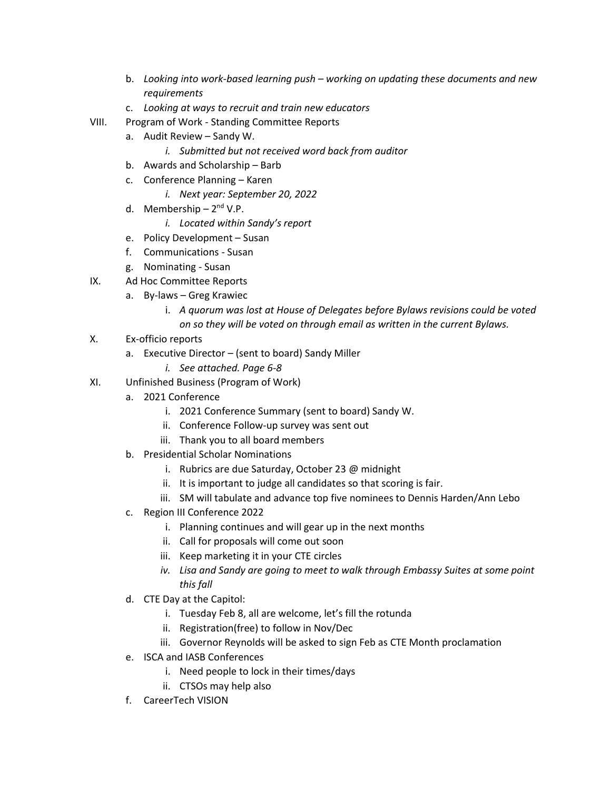- b. *Looking into work-based learning push – working on updating these documents and new requirements*
- c. *Looking at ways to recruit and train new educators*
- VIII. Program of Work Standing Committee Reports
	- a. Audit Review Sandy W.
		- *i. Submitted but not received word back from auditor*
	- b. Awards and Scholarship Barb
	- c. Conference Planning Karen
		- *i. Next year: September 20, 2022*
	- d. Membership 2<sup>nd</sup> V.P.
		- *i. Located within Sandy's report*
	- e. Policy Development Susan
	- f. Communications Susan
	- g. Nominating Susan
- IX. Ad Hoc Committee Reports
	- a. By-laws Greg Krawiec
		- i. *A quorum was lost at House of Delegates before Bylaws revisions could be voted on so they will be voted on through email as written in the current Bylaws.*
- X. Ex-officio reports
	- a. Executive Director (sent to board) Sandy Miller
		- *i. See attached. Page 6-8*
- XI. Unfinished Business (Program of Work)
	- a. 2021 Conference
		- i. 2021 Conference Summary (sent to board) Sandy W.
		- ii. Conference Follow-up survey was sent out
		- iii. Thank you to all board members
	- b. Presidential Scholar Nominations
		- i. Rubrics are due Saturday, October 23 @ midnight
		- ii. It is important to judge all candidates so that scoring is fair.
		- iii. SM will tabulate and advance top five nominees to Dennis Harden/Ann Lebo
	- c. Region III Conference 2022
		- i. Planning continues and will gear up in the next months
		- ii. Call for proposals will come out soon
		- iii. Keep marketing it in your CTE circles
		- *iv. Lisa and Sandy are going to meet to walk through Embassy Suites at some point this fall*
	- d. CTE Day at the Capitol:
		- i. Tuesday Feb 8, all are welcome, let's fill the rotunda
		- ii. Registration(free) to follow in Nov/Dec
		- iii. Governor Reynolds will be asked to sign Feb as CTE Month proclamation
	- e. ISCA and IASB Conferences
		- i. Need people to lock in their times/days
		- ii. CTSOs may help also
	- f. CareerTech VISION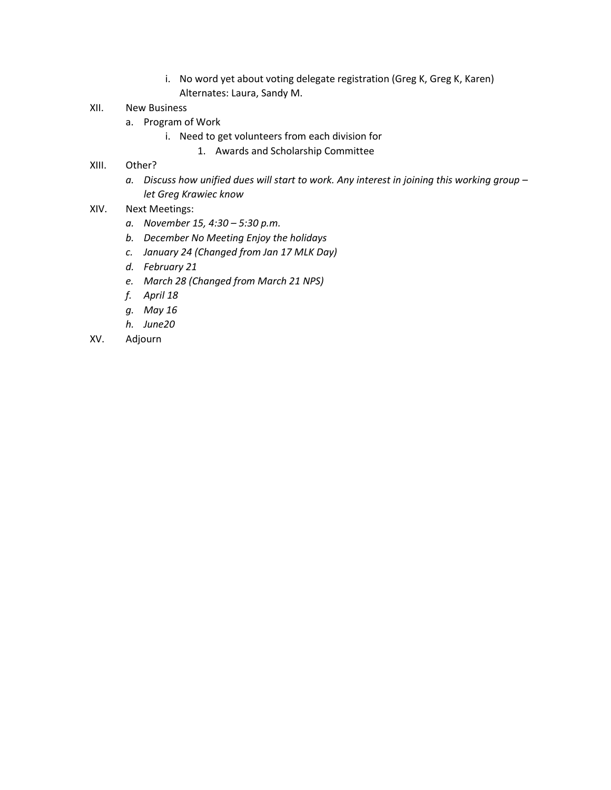- i. No word yet about voting delegate registration (Greg K, Greg K, Karen) Alternates: Laura, Sandy M.
- XII. New Business
	- a. Program of Work
		- i. Need to get volunteers from each division for
			- 1. Awards and Scholarship Committee
- XIII. Other?
	- *a. Discuss how unified dues will start to work. Any interest in joining this working group – let Greg Krawiec know*
- XIV. Next Meetings:
	- *a. November 15, 4:30 – 5:30 p.m.*
	- *b. December No Meeting Enjoy the holidays*
	- *c. January 24 (Changed from Jan 17 MLK Day)*
	- *d. February 21*
	- *e. March 28 (Changed from March 21 NPS)*
	- *f. April 18*
	- *g. May 16*
	- *h. June20*
- XV. Adjourn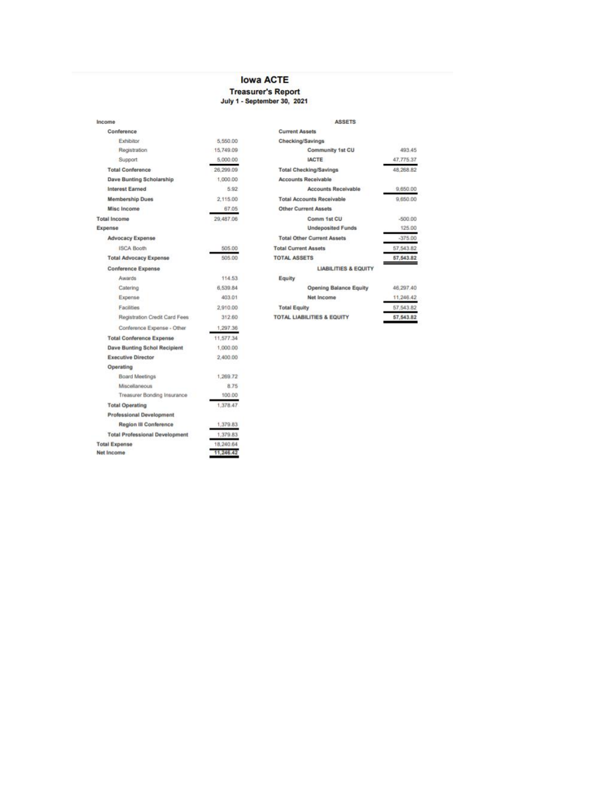### **Iowa ACTE**

# Treasurer's Report<br>July 1 - September 30, 2021

| Income                                |           |
|---------------------------------------|-----------|
| Conference                            |           |
| Exhibitor                             | 5,550.00  |
| Registration                          | 15,749.09 |
| Support                               | 5,000.00  |
| <b>Total Conference</b>               | 26,299.09 |
| Dave Bunting Scholarship              | 1,000.00  |
| Interest Earned                       | 5.92      |
| <b>Membership Dues</b>                | 2.115.00  |
| Misc Income                           | 67.05     |
| <b>Total Income</b>                   | 29,487.06 |
| Expense                               |           |
| Advocacy Expense                      |           |
| <b>ISCA Booth</b>                     | 505.00    |
| <b>Total Advocacy Expense</b>         | 505.00    |
| <b>Conference Expense</b>             |           |
| Awards                                | 114.53    |
| Catering                              | 6,539.84  |
| Expense                               | 403.01    |
| Facilities                            | 2.910.00  |
| Registration Credit Card Fees         | 312.60    |
| Conference Expense - Other            | 1,297.36  |
| <b>Total Conference Expense</b>       | 11,577.34 |
| <b>Dave Bunting Schol Recipient</b>   | 1,000.00  |
| <b>Executive Director</b>             | 2,400.00  |
| Operating                             |           |
| Board Meetings                        | 1,269.72  |
| Miscellaneous                         | 8.75      |
| Treasurer Bonding Insurance           | 100.00    |
| <b>Total Operating</b>                | 1.378.47  |
| <b>Professional Development</b>       |           |
| <b>Region III Conference</b>          | 1,379.83  |
| <b>Total Professional Development</b> | 1,379.83  |
| <b>Total Expense</b>                  | 18.2401   |
| Net Income                            |           |

| <b>ASSETS</b>                         |            |
|---------------------------------------|------------|
| <b>Current Assets</b>                 |            |
| Checking/Savings                      |            |
| Community 1st CU                      | 493.45     |
| <b>IACTE</b>                          | 47.775.37  |
| <b>Total Checking/Savings</b>         | 48.268.82  |
| <b>Accounts Receivable</b>            |            |
| <b>Accounts Receivable</b>            | 9,650.00   |
| <b>Total Accounts Receivable</b>      | 9,650.00   |
| Other Current Assets                  |            |
| Comm 1st CU                           | $-500.00$  |
| <b>Undeposited Funds</b>              | 125.00     |
| <b>Total Other Current Assets</b>     | $-375.00$  |
| <b>Total Current Assets</b>           | 57,543.82  |
| <b>TOTAL ASSETS</b>                   | 57.543.82  |
| <b>LIABILITIES &amp; EQUITY</b>       |            |
| Equity                                |            |
| <b>Opening Balance Equity</b>         | 46.297.40  |
| Net Income                            | 11,246.42  |
| <b>Total Equity</b>                   | 57,543.82  |
| <b>TOTAL LIABILITIES &amp; EQUITY</b> | 57, 543.82 |
|                                       |            |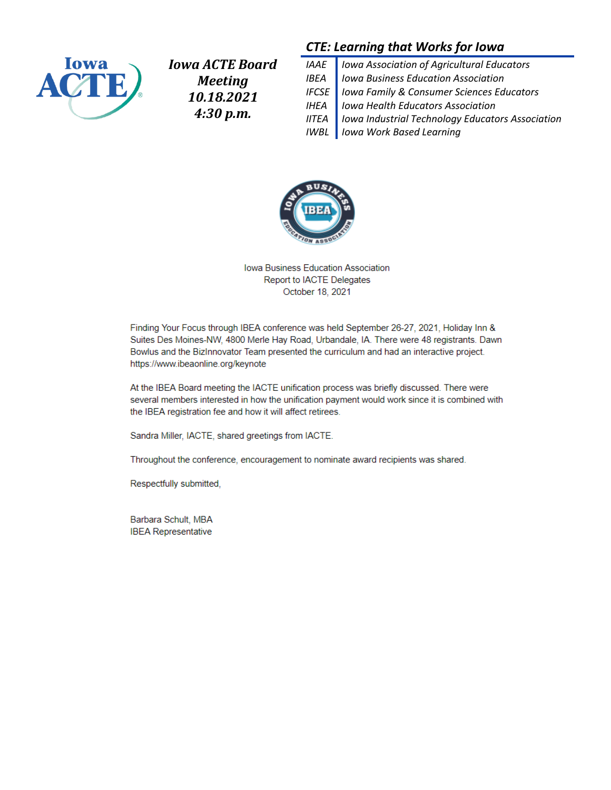

*Iowa ACTE Board Meeting 10.18.2021 4:30 p.m.*

## *CTE: Learning that Works for Iowa*

*IAAE Iowa Association of Agricultural Educators IBEA Iowa Business Education Association IFCSE Iowa Family & Consumer Sciences Educators IHEA Iowa Health Educators Association IITEA Iowa Industrial Technology Educators Association IWBL Iowa Work Based Learning*



Iowa Business Education Association Report to IACTE Delegates October 18, 2021

Finding Your Focus through IBEA conference was held September 26-27, 2021, Holiday Inn & Suites Des Moines-NW, 4800 Merle Hay Road, Urbandale, IA. There were 48 registrants. Dawn Bowlus and the BizInnovator Team presented the curriculum and had an interactive project. https://www.ibeaonline.org/keynote

At the IBEA Board meeting the IACTE unification process was briefly discussed. There were several members interested in how the unification payment would work since it is combined with the IBEA registration fee and how it will affect retirees.

Sandra Miller, IACTE, shared greetings from IACTE.

Throughout the conference, encouragement to nominate award recipients was shared.

Respectfully submitted,

Barbara Schult, MBA **IBEA Representative**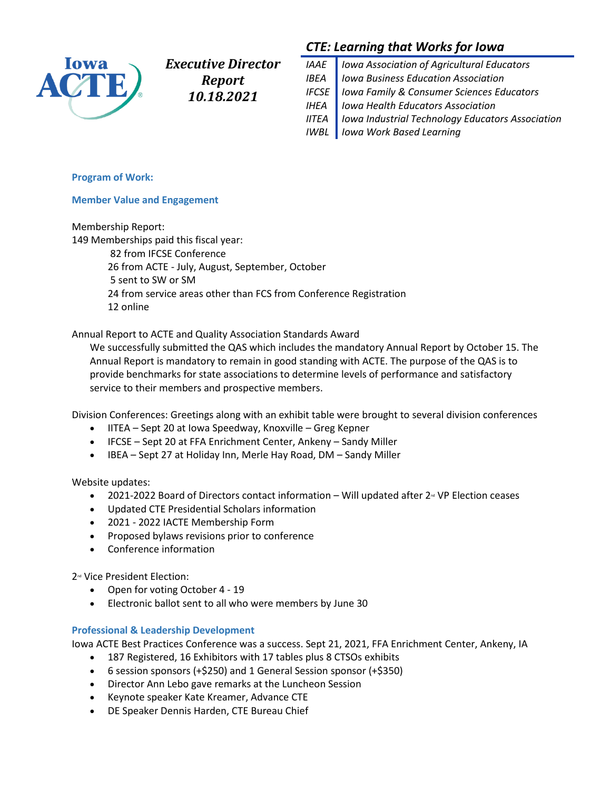

*Executive Director Report 10.18.2021*

# *CTE: Learning that Works for Iowa*

*IAAE Iowa Association of Agricultural Educators IBEA Iowa Business Education Association IFCSE Iowa Family & Consumer Sciences Educators IHEA Iowa Health Educators Association IITEA Iowa Industrial Technology Educators Association IWBL Iowa Work Based Learning*

#### **Program of Work:**

#### **Member Value and Engagement**

Membership Report:

149 Memberships paid this fiscal year:

82 from IFCSE Conference 26 from ACTE - July, August, September, October 5 sent to SW or SM 24 from service areas other than FCS from Conference Registration 12 online

Annual Report to ACTE and Quality Association Standards Award

We successfully submitted the QAS which includes the mandatory Annual Report by October 15. The Annual Report is mandatory to remain in good standing with ACTE. The purpose of the QAS is to provide benchmarks for state associations to determine levels of performance and satisfactory service to their members and prospective members.

Division Conferences: Greetings along with an exhibit table were brought to several division conferences

- IITEA Sept 20 at Iowa Speedway, Knoxville Greg Kepner
- IFCSE Sept 20 at FFA Enrichment Center, Ankeny Sandy Miller
- IBEA Sept 27 at Holiday Inn, Merle Hay Road, DM Sandy Miller

Website updates:

- 2021-2022 Board of Directors contact information Will updated after  $2<sup>\omega</sup>$  VP Election ceases
- Updated CTE Presidential Scholars information
- 2021 2022 IACTE Membership Form
- Proposed bylaws revisions prior to conference
- Conference information

2<sup>nd</sup> Vice President Election:

- Open for voting October 4 19
- Electronic ballot sent to all who were members by June 30

#### **Professional & Leadership Development**

Iowa ACTE Best Practices Conference was a success. Sept 21, 2021, FFA Enrichment Center, Ankeny, IA

- 187 Registered, 16 Exhibitors with 17 tables plus 8 CTSOs exhibits
- 6 session sponsors (+\$250) and 1 General Session sponsor (+\$350)
- Director Ann Lebo gave remarks at the Luncheon Session
- Keynote speaker Kate Kreamer, Advance CTE
- DE Speaker Dennis Harden, CTE Bureau Chief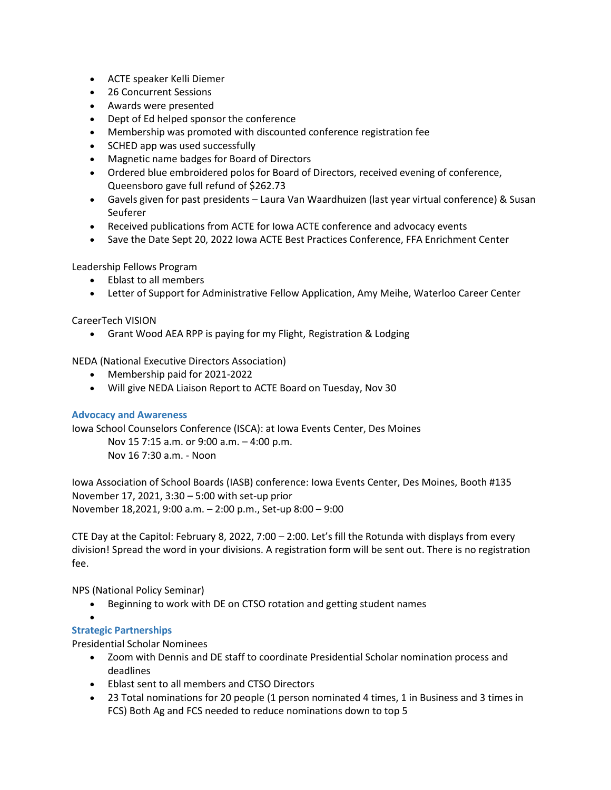- ACTE speaker Kelli Diemer
- 26 Concurrent Sessions
- Awards were presented
- Dept of Ed helped sponsor the conference
- Membership was promoted with discounted conference registration fee
- SCHED app was used successfully
- Magnetic name badges for Board of Directors
- Ordered blue embroidered polos for Board of Directors, received evening of conference, Queensboro gave full refund of \$262.73
- Gavels given for past presidents Laura Van Waardhuizen (last year virtual conference) & Susan **Seuferer**
- Received publications from ACTE for Iowa ACTE conference and advocacy events
- Save the Date Sept 20, 2022 Iowa ACTE Best Practices Conference, FFA Enrichment Center

Leadership Fellows Program

- Eblast to all members
- Letter of Support for Administrative Fellow Application, Amy Meihe, Waterloo Career Center

#### CareerTech VISION

• Grant Wood AEA RPP is paying for my Flight, Registration & Lodging

NEDA (National Executive Directors Association)

- Membership paid for 2021-2022
- Will give NEDA Liaison Report to ACTE Board on Tuesday, Nov 30

#### **Advocacy and Awareness**

Iowa School Counselors Conference (ISCA): at Iowa Events Center, Des Moines

Nov 15 7:15 a.m. or 9:00 a.m. – 4:00 p.m. Nov 16 7:30 a.m. - Noon

Iowa Association of School Boards (IASB) conference: Iowa Events Center, Des Moines, Booth #135 November 17, 2021, 3:30 – 5:00 with set-up prior November 18,2021, 9:00 a.m. – 2:00 p.m., Set-up 8:00 – 9:00

CTE Day at the Capitol: February 8, 2022, 7:00 – 2:00. Let's fill the Rotunda with displays from every division! Spread the word in your divisions. A registration form will be sent out. There is no registration fee.

NPS (National Policy Seminar)

• Beginning to work with DE on CTSO rotation and getting student names

#### • **Strategic Partnerships**

Presidential Scholar Nominees

- Zoom with Dennis and DE staff to coordinate Presidential Scholar nomination process and deadlines
- Eblast sent to all members and CTSO Directors
- 23 Total nominations for 20 people (1 person nominated 4 times, 1 in Business and 3 times in FCS) Both Ag and FCS needed to reduce nominations down to top 5